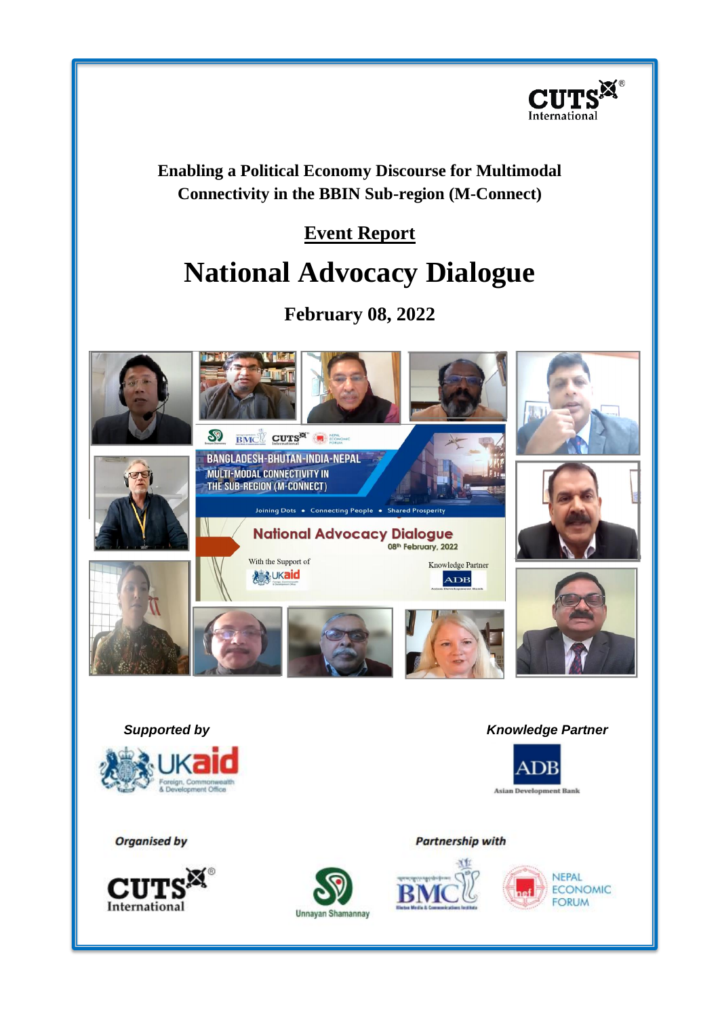

**Enabling a Political Economy Discourse for Multimodal Connectivity in the BBIN Sub-region (M-Connect)** 

# **Event Report**

# **National Advocacy Dialogue**

# **February 08, 2022**

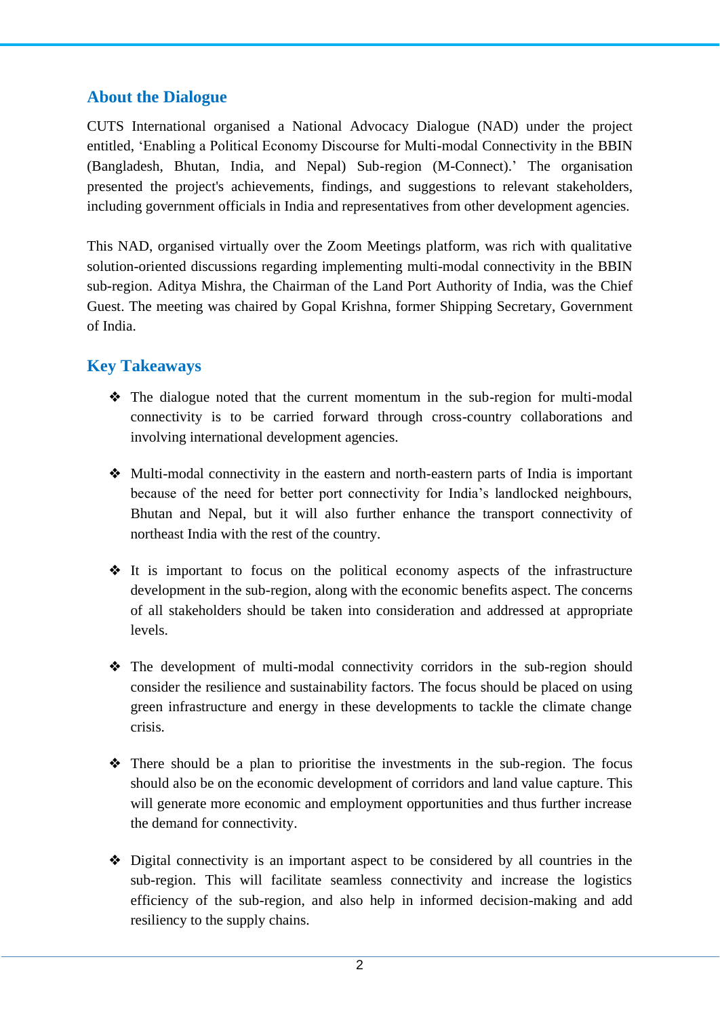#### **About the Dialogue**

CUTS International organised a National Advocacy Dialogue (NAD) under the project entitled, 'Enabling a Political Economy Discourse for Multi-modal Connectivity in the BBIN (Bangladesh, Bhutan, India, and Nepal) Sub-region (M-Connect).' The organisation presented the project's achievements, findings, and suggestions to relevant stakeholders, including government officials in India and representatives from other development agencies.

This NAD, organised virtually over the Zoom Meetings platform, was rich with qualitative solution-oriented discussions regarding implementing multi-modal connectivity in the BBIN sub-region. Aditya Mishra, the Chairman of the Land Port Authority of India, was the Chief Guest. The meeting was chaired by Gopal Krishna, former Shipping Secretary, Government of India.

#### **Key Takeaways**

- ❖ The dialogue noted that the current momentum in the sub-region for multi-modal connectivity is to be carried forward through cross-country collaborations and involving international development agencies.
- ❖ Multi-modal connectivity in the eastern and north-eastern parts of India is important because of the need for better port connectivity for India's landlocked neighbours, Bhutan and Nepal, but it will also further enhance the transport connectivity of northeast India with the rest of the country.
- ❖ It is important to focus on the political economy aspects of the infrastructure development in the sub-region, along with the economic benefits aspect. The concerns of all stakeholders should be taken into consideration and addressed at appropriate levels.
- ❖ The development of multi-modal connectivity corridors in the sub-region should consider the resilience and sustainability factors. The focus should be placed on using green infrastructure and energy in these developments to tackle the climate change crisis.
- ❖ There should be a plan to prioritise the investments in the sub-region. The focus should also be on the economic development of corridors and land value capture. This will generate more economic and employment opportunities and thus further increase the demand for connectivity.
- ❖ Digital connectivity is an important aspect to be considered by all countries in the sub-region. This will facilitate seamless connectivity and increase the logistics efficiency of the sub-region, and also help in informed decision-making and add resiliency to the supply chains.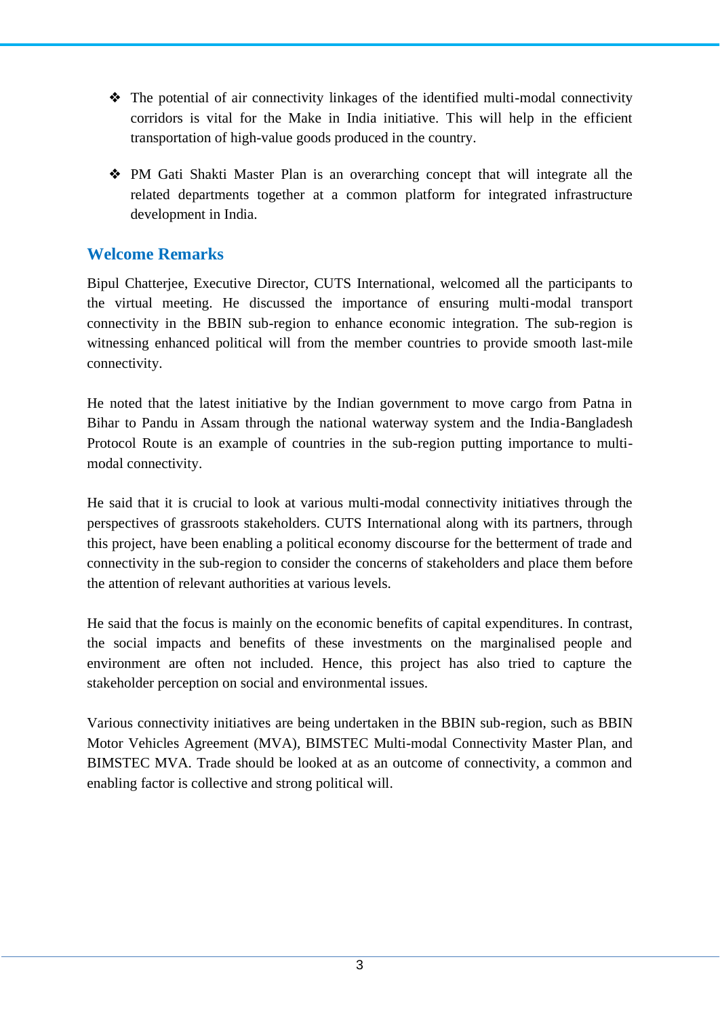- ❖ The potential of air connectivity linkages of the identified multi-modal connectivity corridors is vital for the Make in India initiative. This will help in the efficient transportation of high-value goods produced in the country.
- ❖ PM Gati Shakti Master Plan is an overarching concept that will integrate all the related departments together at a common platform for integrated infrastructure development in India.

#### **Welcome Remarks**

Bipul Chatterjee, Executive Director, CUTS International, welcomed all the participants to the virtual meeting. He discussed the importance of ensuring multi-modal transport connectivity in the BBIN sub-region to enhance economic integration. The sub-region is witnessing enhanced political will from the member countries to provide smooth last-mile connectivity.

He noted that the latest initiative by the Indian government to move cargo from Patna in Bihar to Pandu in Assam through the national waterway system and the India-Bangladesh Protocol Route is an example of countries in the sub-region putting importance to multimodal connectivity.

He said that it is crucial to look at various multi-modal connectivity initiatives through the perspectives of grassroots stakeholders. CUTS International along with its partners, through this project, have been enabling a political economy discourse for the betterment of trade and connectivity in the sub-region to consider the concerns of stakeholders and place them before the attention of relevant authorities at various levels.

He said that the focus is mainly on the economic benefits of capital expenditures. In contrast, the social impacts and benefits of these investments on the marginalised people and environment are often not included. Hence, this project has also tried to capture the stakeholder perception on social and environmental issues.

Various connectivity initiatives are being undertaken in the BBIN sub-region, such as BBIN Motor Vehicles Agreement (MVA), BIMSTEC Multi-modal Connectivity Master Plan, and BIMSTEC MVA. Trade should be looked at as an outcome of connectivity, a common and enabling factor is collective and strong political will.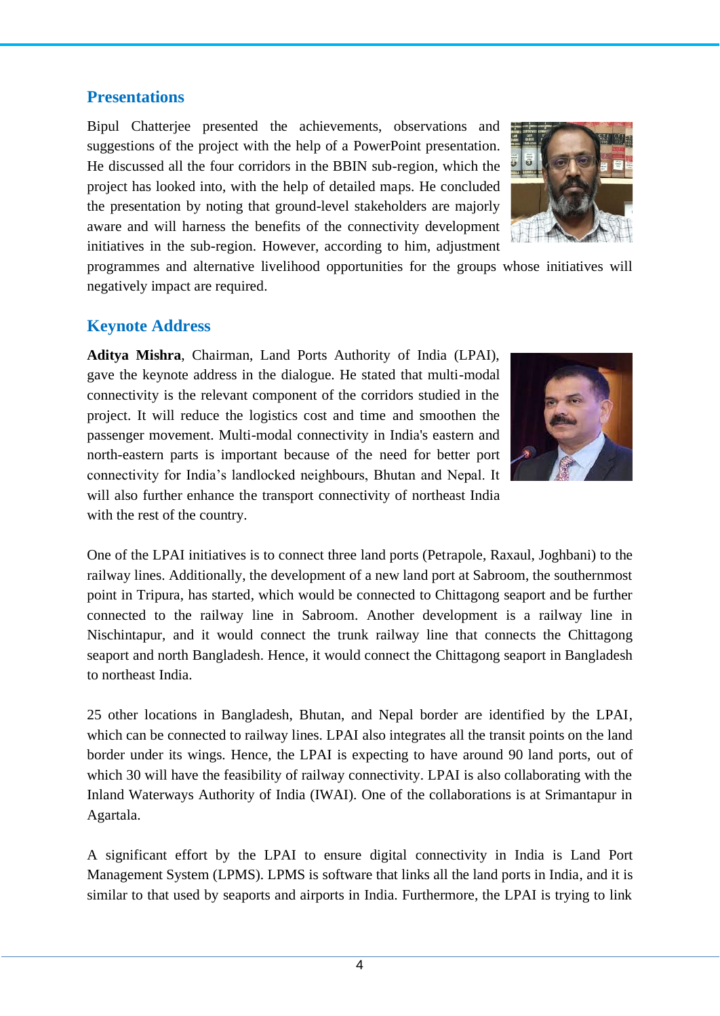#### **Presentations**

Bipul Chatterjee presented the achievements, observations and suggestions of the project with the help of a PowerPoint presentation. He discussed all the four corridors in the BBIN sub-region, which the project has looked into, with the help of detailed maps. He concluded the presentation by noting that ground-level stakeholders are majorly aware and will harness the benefits of the connectivity development initiatives in the sub-region. However, according to him, adjustment



programmes and alternative livelihood opportunities for the groups whose initiatives will negatively impact are required.

#### **Keynote Address**

**Aditya Mishra**, Chairman, Land Ports Authority of India (LPAI), gave the keynote address in the dialogue. He stated that multi-modal connectivity is the relevant component of the corridors studied in the project. It will reduce the logistics cost and time and smoothen the passenger movement. Multi-modal connectivity in India's eastern and north-eastern parts is important because of the need for better port connectivity for India's landlocked neighbours, Bhutan and Nepal. It will also further enhance the transport connectivity of northeast India with the rest of the country.



One of the LPAI initiatives is to connect three land ports (Petrapole, Raxaul, Joghbani) to the railway lines. Additionally, the development of a new land port at Sabroom, the southernmost point in Tripura, has started, which would be connected to Chittagong seaport and be further connected to the railway line in Sabroom. Another development is a railway line in Nischintapur, and it would connect the trunk railway line that connects the Chittagong seaport and north Bangladesh. Hence, it would connect the Chittagong seaport in Bangladesh to northeast India.

25 other locations in Bangladesh, Bhutan, and Nepal border are identified by the LPAI, which can be connected to railway lines. LPAI also integrates all the transit points on the land border under its wings. Hence, the LPAI is expecting to have around 90 land ports, out of which 30 will have the feasibility of railway connectivity. LPAI is also collaborating with the Inland Waterways Authority of India (IWAI). One of the collaborations is at Srimantapur in Agartala.

A significant effort by the LPAI to ensure digital connectivity in India is Land Port Management System (LPMS). LPMS is software that links all the land ports in India, and it is similar to that used by seaports and airports in India. Furthermore, the LPAI is trying to link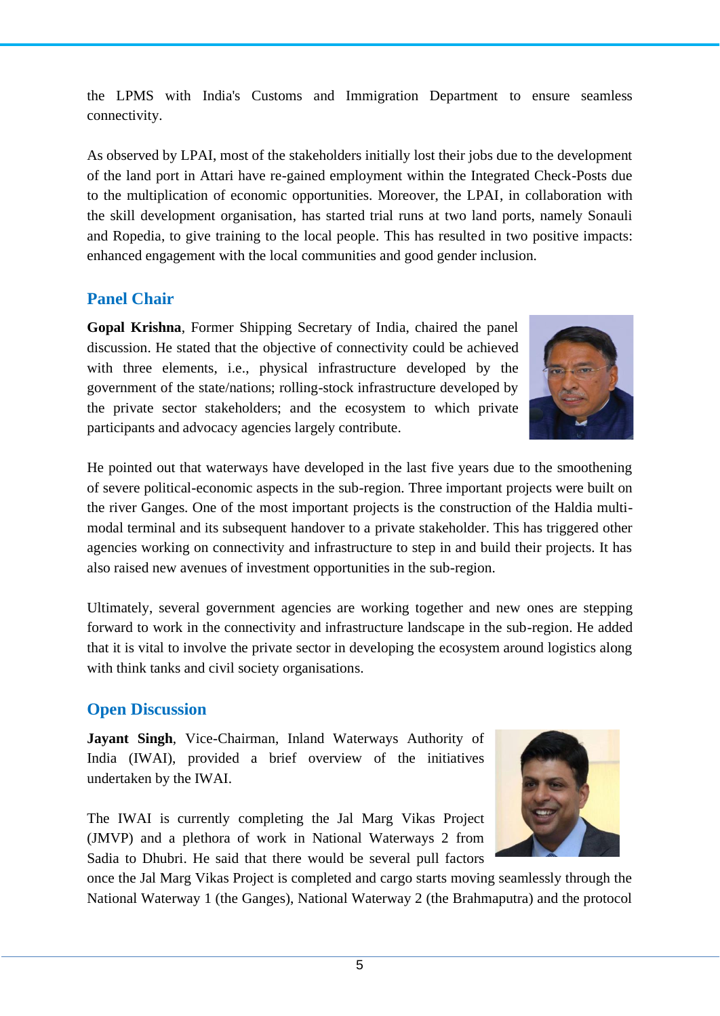the LPMS with India's Customs and Immigration Department to ensure seamless connectivity.

As observed by LPAI, most of the stakeholders initially lost their jobs due to the development of the land port in Attari have re-gained employment within the Integrated Check-Posts due to the multiplication of economic opportunities. Moreover, the LPAI, in collaboration with the skill development organisation, has started trial runs at two land ports, namely Sonauli and Ropedia, to give training to the local people. This has resulted in two positive impacts: enhanced engagement with the local communities and good gender inclusion.

## **Panel Chair**

**Gopal Krishna**, Former Shipping Secretary of India, chaired the panel discussion. He stated that the objective of connectivity could be achieved with three elements, i.e., physical infrastructure developed by the government of the state/nations; rolling-stock infrastructure developed by the private sector stakeholders; and the ecosystem to which private participants and advocacy agencies largely contribute.



Ultimately, several government agencies are working together and new ones are stepping forward to work in the connectivity and infrastructure landscape in the sub-region. He added that it is vital to involve the private sector in developing the ecosystem around logistics along with think tanks and civil society organisations.

#### **Open Discussion**

**Jayant Singh**, Vice-Chairman, Inland Waterways Authority of India (IWAI), provided a brief overview of the initiatives undertaken by the IWAI.

The IWAI is currently completing the Jal Marg Vikas Project (JMVP) and a plethora of work in National Waterways 2 from Sadia to Dhubri. He said that there would be several pull factors



once the Jal Marg Vikas Project is completed and cargo starts moving seamlessly through the National Waterway 1 (the Ganges), National Waterway 2 (the Brahmaputra) and the protocol

5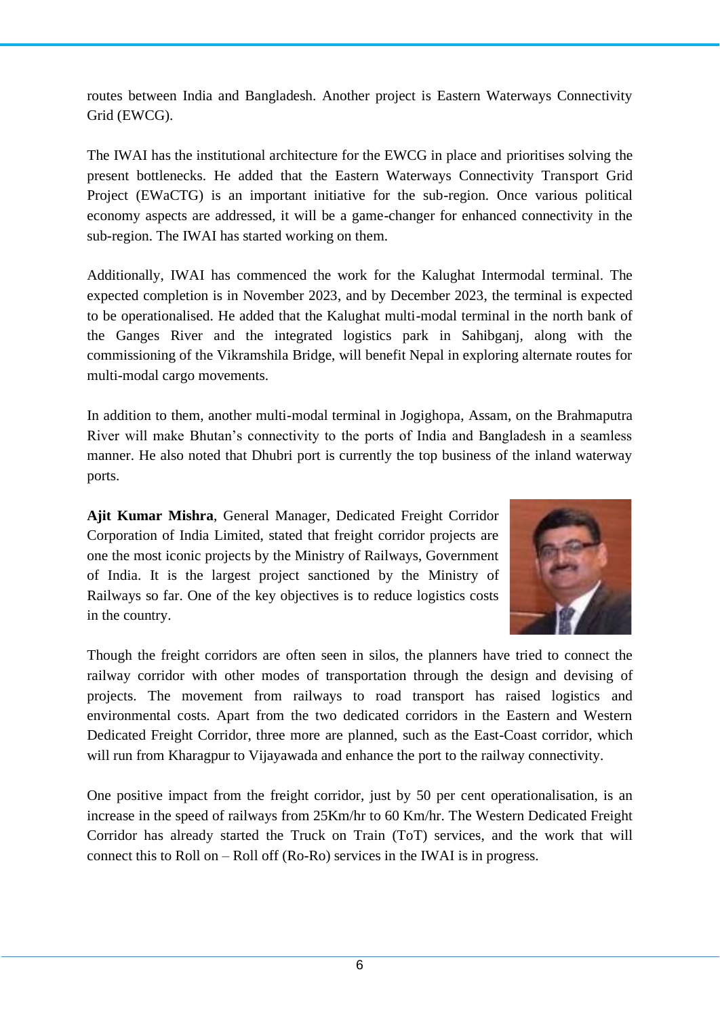routes between India and Bangladesh. Another project is Eastern Waterways Connectivity Grid (EWCG).

The IWAI has the institutional architecture for the EWCG in place and prioritises solving the present bottlenecks. He added that the Eastern Waterways Connectivity Transport Grid Project (EWaCTG) is an important initiative for the sub-region. Once various political economy aspects are addressed, it will be a game-changer for enhanced connectivity in the sub-region. The IWAI has started working on them.

Additionally, IWAI has commenced the work for the Kalughat Intermodal terminal. The expected completion is in November 2023, and by December 2023, the terminal is expected to be operationalised. He added that the Kalughat multi-modal terminal in the north bank of the Ganges River and the integrated logistics park in Sahibganj, along with the commissioning of the Vikramshila Bridge, will benefit Nepal in exploring alternate routes for multi-modal cargo movements.

In addition to them, another multi-modal terminal in Jogighopa, Assam, on the Brahmaputra River will make Bhutan's connectivity to the ports of India and Bangladesh in a seamless manner. He also noted that Dhubri port is currently the top business of the inland waterway ports.

**Ajit Kumar Mishra**, General Manager, Dedicated Freight Corridor Corporation of India Limited, stated that freight corridor projects are one the most iconic projects by the Ministry of Railways, Government of India. It is the largest project sanctioned by the Ministry of Railways so far. One of the key objectives is to reduce logistics costs in the country.



Though the freight corridors are often seen in silos, the planners have tried to connect the railway corridor with other modes of transportation through the design and devising of projects. The movement from railways to road transport has raised logistics and environmental costs. Apart from the two dedicated corridors in the Eastern and Western Dedicated Freight Corridor, three more are planned, such as the East-Coast corridor, which will run from Kharagpur to Vijayawada and enhance the port to the railway connectivity.

One positive impact from the freight corridor, just by 50 per cent operationalisation, is an increase in the speed of railways from 25Km/hr to 60 Km/hr. The Western Dedicated Freight Corridor has already started the Truck on Train (ToT) services, and the work that will connect this to Roll on – Roll off (Ro-Ro) services in the IWAI is in progress.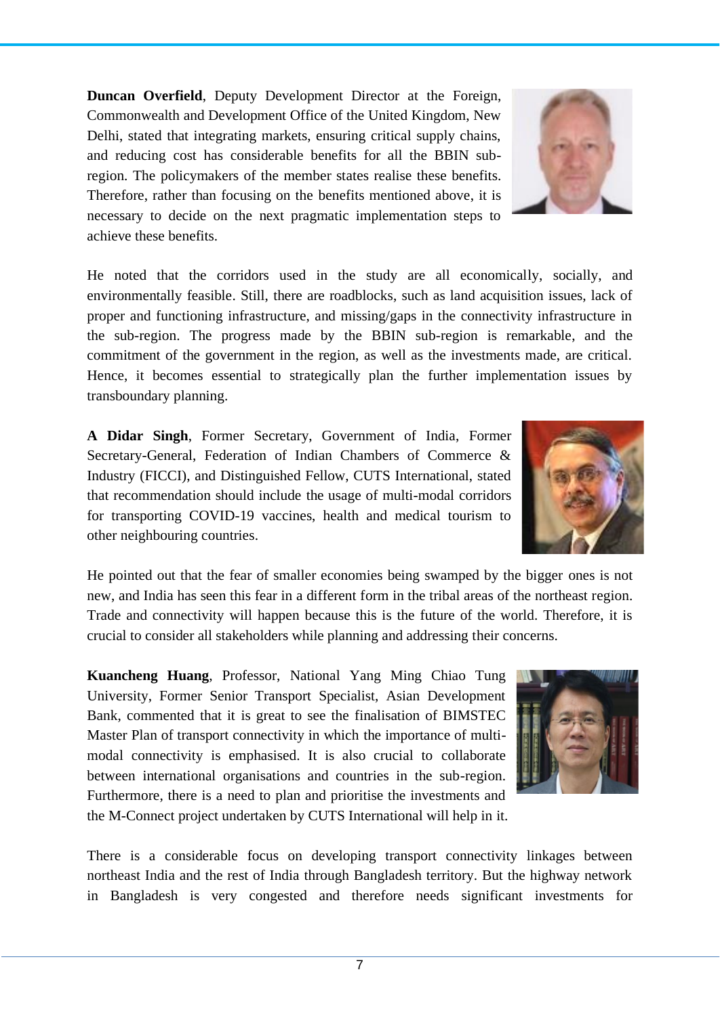7

There is a considerable focus on developing transport connectivity linkages between northeast India and the rest of India through Bangladesh territory. But the highway network in Bangladesh is very congested and therefore needs significant investments for

**Kuancheng Huang**, Professor, National Yang Ming Chiao Tung University, Former Senior Transport Specialist, Asian Development Bank, commented that it is great to see the finalisation of BIMSTEC Master Plan of transport connectivity in which the importance of multimodal connectivity is emphasised. It is also crucial to collaborate between international organisations and countries in the sub-region. Furthermore, there is a need to plan and prioritise the investments and the M-Connect project undertaken by CUTS International will help in it.

He pointed out that the fear of smaller economies being swamped by the bigger ones is not new, and India has seen this fear in a different form in the tribal areas of the northeast region. Trade and connectivity will happen because this is the future of the world. Therefore, it is crucial to consider all stakeholders while planning and addressing their concerns.

**A Didar Singh**, Former Secretary, Government of India, Former Secretary-General, Federation of Indian Chambers of Commerce & Industry (FICCI), and Distinguished Fellow, CUTS International, stated that recommendation should include the usage of multi-modal corridors for transporting COVID-19 vaccines, health and medical tourism to other neighbouring countries.

environmentally feasible. Still, there are roadblocks, such as land acquisition issues, lack of proper and functioning infrastructure, and missing/gaps in the connectivity infrastructure in the sub-region. The progress made by the BBIN sub-region is remarkable, and the commitment of the government in the region, as well as the investments made, are critical. Hence, it becomes essential to strategically plan the further implementation issues by transboundary planning.

Commonwealth and Development Office of the United Kingdom, New Delhi, stated that integrating markets, ensuring critical supply chains, and reducing cost has considerable benefits for all the BBIN subregion. The policymakers of the member states realise these benefits. Therefore, rather than focusing on the benefits mentioned above, it is necessary to decide on the next pragmatic implementation steps to achieve these benefits.

**Duncan Overfield**, Deputy Development Director at the Foreign,







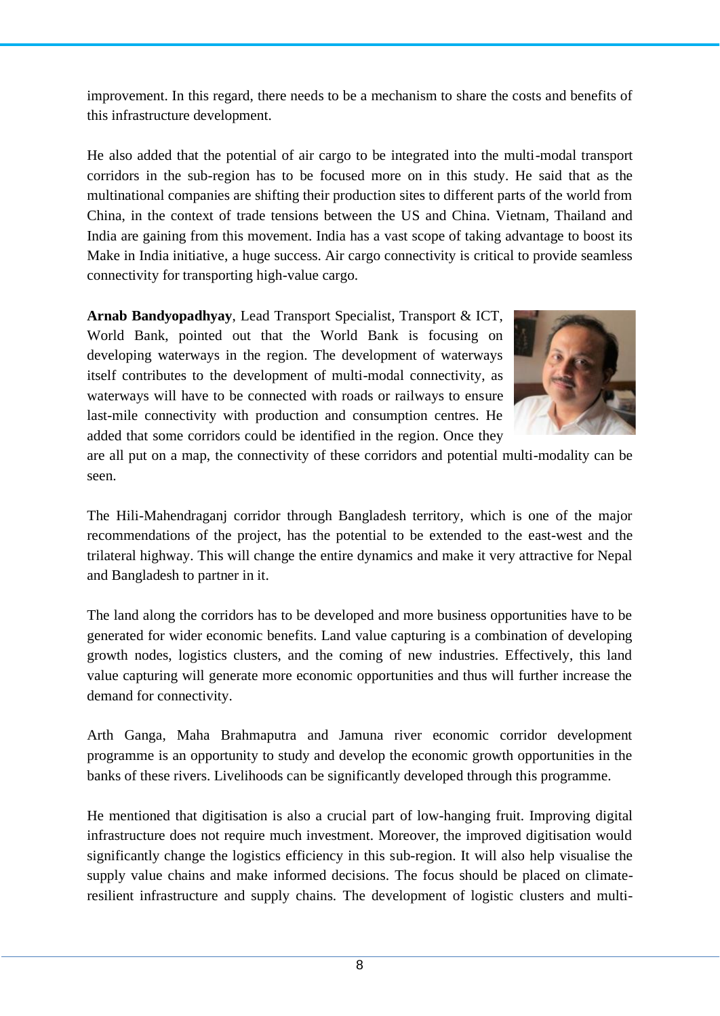improvement. In this regard, there needs to be a mechanism to share the costs and benefits of this infrastructure development.

He also added that the potential of air cargo to be integrated into the multi-modal transport corridors in the sub-region has to be focused more on in this study. He said that as the multinational companies are shifting their production sites to different parts of the world from China, in the context of trade tensions between the US and China. Vietnam, Thailand and India are gaining from this movement. India has a vast scope of taking advantage to boost its Make in India initiative, a huge success. Air cargo connectivity is critical to provide seamless connectivity for transporting high-value cargo.

**Arnab Bandyopadhyay**, Lead Transport Specialist, Transport & ICT, World Bank, pointed out that the World Bank is focusing on developing waterways in the region. The development of waterways itself contributes to the development of multi-modal connectivity, as waterways will have to be connected with roads or railways to ensure last-mile connectivity with production and consumption centres. He added that some corridors could be identified in the region. Once they



are all put on a map, the connectivity of these corridors and potential multi-modality can be seen.

The Hili-Mahendraganj corridor through Bangladesh territory, which is one of the major recommendations of the project, has the potential to be extended to the east-west and the trilateral highway. This will change the entire dynamics and make it very attractive for Nepal and Bangladesh to partner in it.

The land along the corridors has to be developed and more business opportunities have to be generated for wider economic benefits. Land value capturing is a combination of developing growth nodes, logistics clusters, and the coming of new industries. Effectively, this land value capturing will generate more economic opportunities and thus will further increase the demand for connectivity.

Arth Ganga, Maha Brahmaputra and Jamuna river economic corridor development programme is an opportunity to study and develop the economic growth opportunities in the banks of these rivers. Livelihoods can be significantly developed through this programme.

He mentioned that digitisation is also a crucial part of low-hanging fruit. Improving digital infrastructure does not require much investment. Moreover, the improved digitisation would significantly change the logistics efficiency in this sub-region. It will also help visualise the supply value chains and make informed decisions. The focus should be placed on climateresilient infrastructure and supply chains. The development of logistic clusters and multi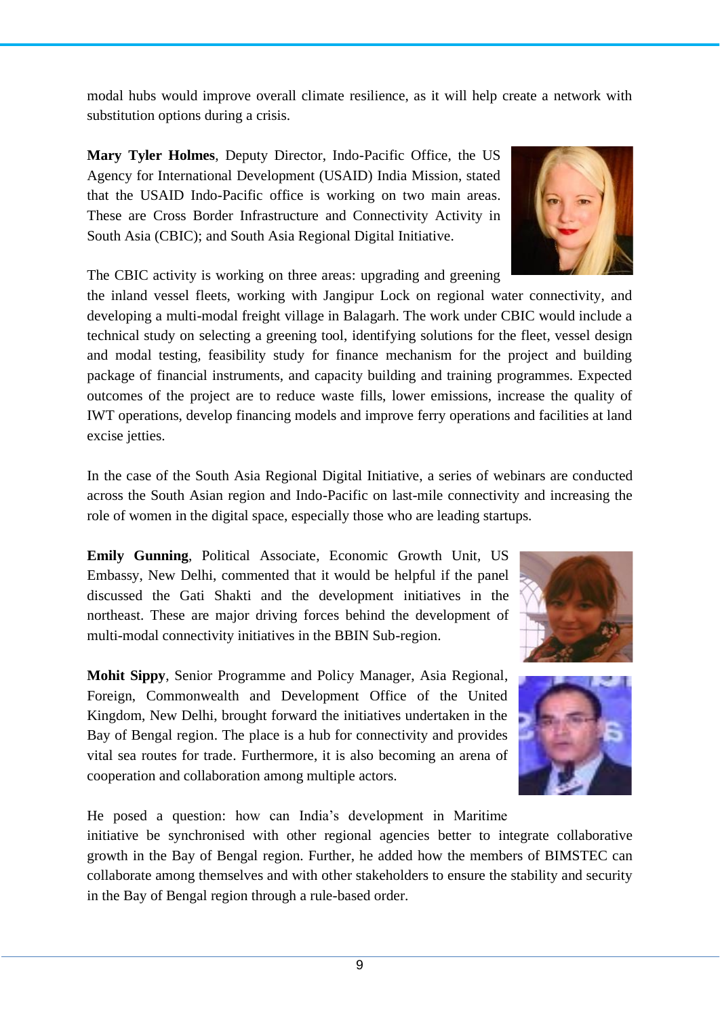modal hubs would improve overall climate resilience, as it will help create a network with substitution options during a crisis.

**Mary Tyler Holmes**, Deputy Director, Indo-Pacific Office, the US Agency for International Development (USAID) India Mission, stated that the USAID Indo-Pacific office is working on two main areas. These are Cross Border Infrastructure and Connectivity Activity in South Asia (CBIC); and South Asia Regional Digital Initiative.

The CBIC activity is working on three areas: upgrading and greening

the inland vessel fleets, working with Jangipur Lock on regional water connectivity, and developing a multi-modal freight village in Balagarh. The work under CBIC would include a technical study on selecting a greening tool, identifying solutions for the fleet, vessel design and modal testing, feasibility study for finance mechanism for the project and building package of financial instruments, and capacity building and training programmes. Expected outcomes of the project are to reduce waste fills, lower emissions, increase the quality of IWT operations, develop financing models and improve ferry operations and facilities at land excise jetties.

In the case of the South Asia Regional Digital Initiative, a series of webinars are conducted across the South Asian region and Indo-Pacific on last-mile connectivity and increasing the role of women in the digital space, especially those who are leading startups.

**Emily Gunning**, Political Associate, Economic Growth Unit, US Embassy, New Delhi, commented that it would be helpful if the panel discussed the Gati Shakti and the development initiatives in the northeast. These are major driving forces behind the development of multi-modal connectivity initiatives in the BBIN Sub-region.

**Mohit Sippy**, Senior Programme and Policy Manager, Asia Regional, Foreign, Commonwealth and Development Office of the United Kingdom, New Delhi, brought forward the initiatives undertaken in the Bay of Bengal region. The place is a hub for connectivity and provides vital sea routes for trade. Furthermore, it is also becoming an arena of cooperation and collaboration among multiple actors.

He posed a question: how can India's development in Maritime initiative be synchronised with other regional agencies better to integrate collaborative growth in the Bay of Bengal region. Further, he added how the members of BIMSTEC can collaborate among themselves and with other stakeholders to ensure the stability and security in the Bay of Bengal region through a rule-based order.







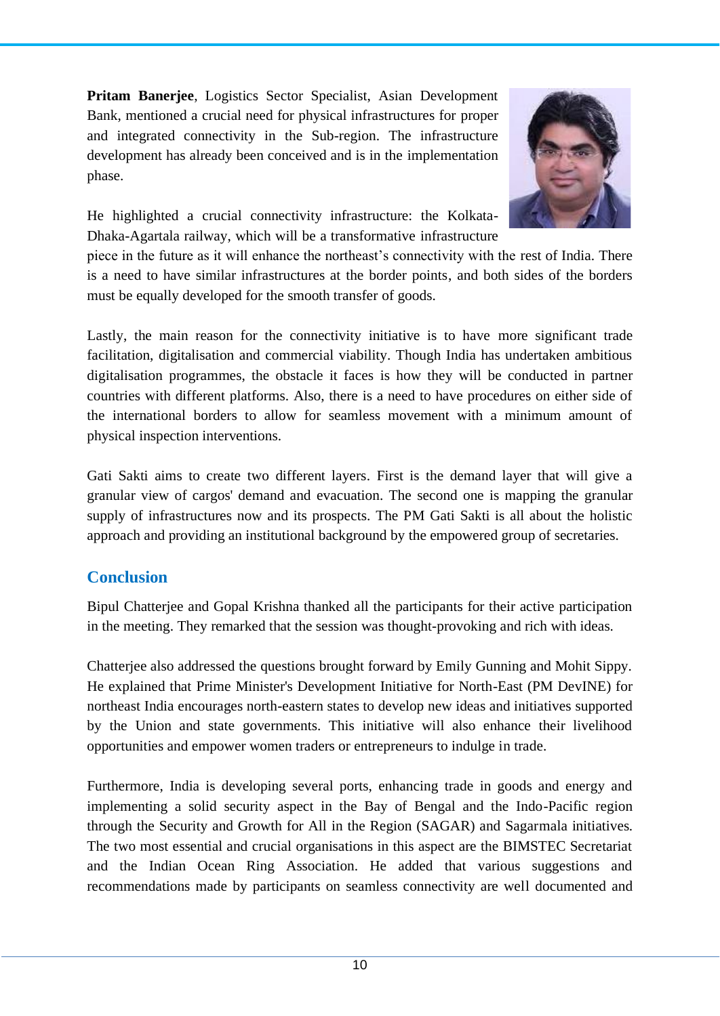**Pritam Banerjee**, Logistics Sector Specialist, Asian Development Bank, mentioned a crucial need for physical infrastructures for proper and integrated connectivity in the Sub-region. The infrastructure development has already been conceived and is in the implementation phase.



He highlighted a crucial connectivity infrastructure: the Kolkata-Dhaka-Agartala railway, which will be a transformative infrastructure

piece in the future as it will enhance the northeast's connectivity with the rest of India. There is a need to have similar infrastructures at the border points, and both sides of the borders must be equally developed for the smooth transfer of goods.

Lastly, the main reason for the connectivity initiative is to have more significant trade facilitation, digitalisation and commercial viability. Though India has undertaken ambitious digitalisation programmes, the obstacle it faces is how they will be conducted in partner countries with different platforms. Also, there is a need to have procedures on either side of the international borders to allow for seamless movement with a minimum amount of physical inspection interventions.

Gati Sakti aims to create two different layers. First is the demand layer that will give a granular view of cargos' demand and evacuation. The second one is mapping the granular supply of infrastructures now and its prospects. The PM Gati Sakti is all about the holistic approach and providing an institutional background by the empowered group of secretaries.

## **Conclusion**

Bipul Chatterjee and Gopal Krishna thanked all the participants for their active participation in the meeting. They remarked that the session was thought-provoking and rich with ideas.

Chatterjee also addressed the questions brought forward by Emily Gunning and Mohit Sippy. He explained that Prime Minister's Development Initiative for North-East (PM DevINE) for northeast India encourages north-eastern states to develop new ideas and initiatives supported by the Union and state governments. This initiative will also enhance their livelihood opportunities and empower women traders or entrepreneurs to indulge in trade.

Furthermore, India is developing several ports, enhancing trade in goods and energy and implementing a solid security aspect in the Bay of Bengal and the Indo-Pacific region through the Security and Growth for All in the Region (SAGAR) and Sagarmala initiatives. The two most essential and crucial organisations in this aspect are the BIMSTEC Secretariat and the Indian Ocean Ring Association. He added that various suggestions and recommendations made by participants on seamless connectivity are well documented and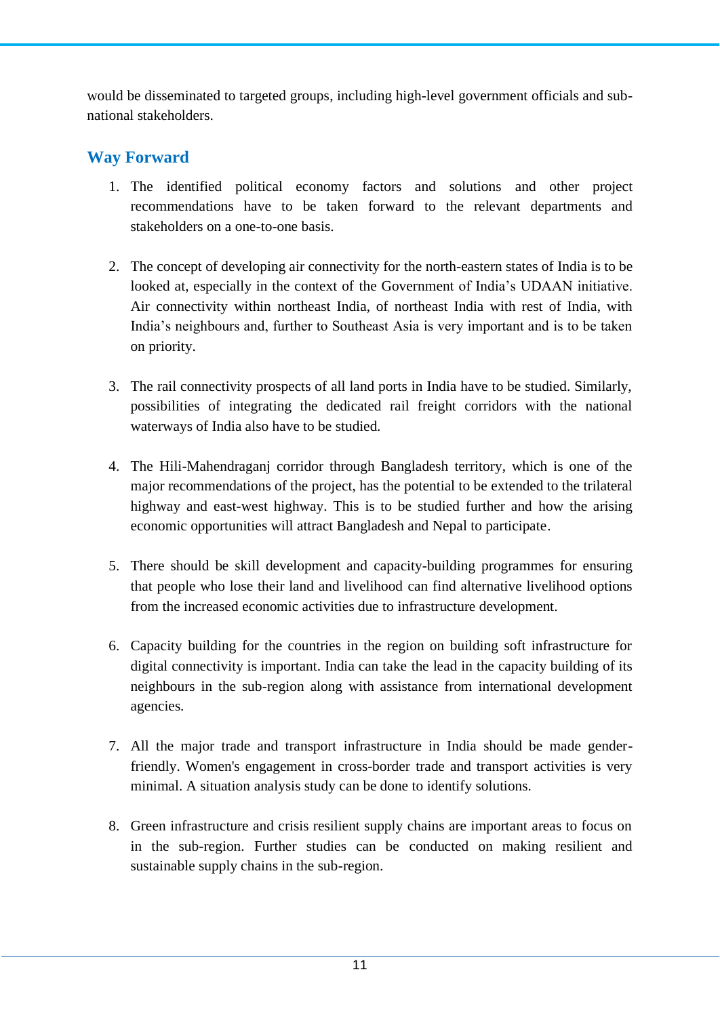would be disseminated to targeted groups, including high-level government officials and subnational stakeholders.

## **Way Forward**

- 1. The identified political economy factors and solutions and other project recommendations have to be taken forward to the relevant departments and stakeholders on a one-to-one basis.
- 2. The concept of developing air connectivity for the north-eastern states of India is to be looked at, especially in the context of the Government of India's UDAAN initiative. Air connectivity within northeast India, of northeast India with rest of India, with India's neighbours and, further to Southeast Asia is very important and is to be taken on priority.
- 3. The rail connectivity prospects of all land ports in India have to be studied. Similarly, possibilities of integrating the dedicated rail freight corridors with the national waterways of India also have to be studied.
- 4. The Hili-Mahendraganj corridor through Bangladesh territory, which is one of the major recommendations of the project, has the potential to be extended to the trilateral highway and east-west highway. This is to be studied further and how the arising economic opportunities will attract Bangladesh and Nepal to participate.
- 5. There should be skill development and capacity-building programmes for ensuring that people who lose their land and livelihood can find alternative livelihood options from the increased economic activities due to infrastructure development.
- 6. Capacity building for the countries in the region on building soft infrastructure for digital connectivity is important. India can take the lead in the capacity building of its neighbours in the sub-region along with assistance from international development agencies.
- 7. All the major trade and transport infrastructure in India should be made genderfriendly. Women's engagement in cross-border trade and transport activities is very minimal. A situation analysis study can be done to identify solutions.
- 8. Green infrastructure and crisis resilient supply chains are important areas to focus on in the sub-region. Further studies can be conducted on making resilient and sustainable supply chains in the sub-region.